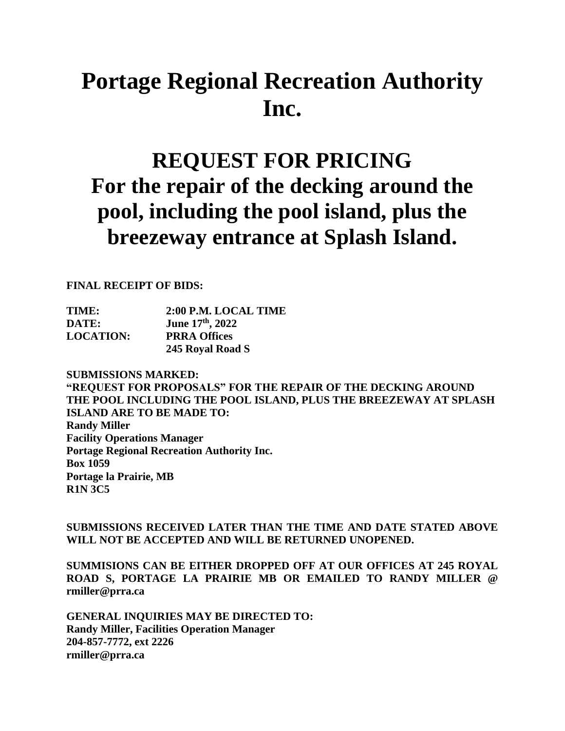## **Portage Regional Recreation Authority Inc.**

## **REQUEST FOR PRICING For the repair of the decking around the pool, including the pool island, plus the breezeway entrance at Splash Island.**

## **FINAL RECEIPT OF BIDS:**

| TIME:            | 2:00 P.M. LOCAL TIME |
|------------------|----------------------|
| DATE:            | June 17th, 2022      |
| <b>LOCATION:</b> | <b>PRRA Offices</b>  |
|                  | 245 Royal Road S     |

**SUBMISSIONS MARKED:**

**"REQUEST FOR PROPOSALS" FOR THE REPAIR OF THE DECKING AROUND THE POOL INCLUDING THE POOL ISLAND, PLUS THE BREEZEWAY AT SPLASH ISLAND ARE TO BE MADE TO: Randy Miller Facility Operations Manager Portage Regional Recreation Authority Inc. Box 1059 Portage la Prairie, MB R1N 3C5**

## **SUBMISSIONS RECEIVED LATER THAN THE TIME AND DATE STATED ABOVE WILL NOT BE ACCEPTED AND WILL BE RETURNED UNOPENED.**

**SUMMISIONS CAN BE EITHER DROPPED OFF AT OUR OFFICES AT 245 ROYAL ROAD S, PORTAGE LA PRAIRIE MB OR EMAILED TO RANDY MILLER @ rmiller@prra.ca**

**GENERAL INQUIRIES MAY BE DIRECTED TO: Randy Miller, Facilities Operation Manager 204-857-7772, ext 2226 rmiller@prra.ca**